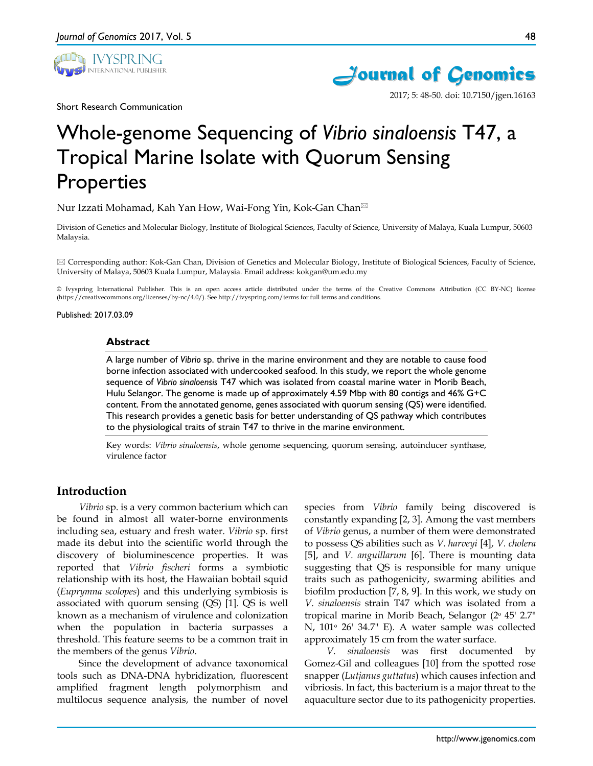Short Research Communication





2017; 5: 48-50. doi: 10.7150/jgen.16163

Whole-genome Sequencing of *Vibrio sinaloensis* T47, a Tropical Marine Isolate with Quorum Sensing Properties

Nur Izzati Mohamad, Kah Yan How, Wai-Fong Yin, Kok-Gan Chan

Division of Genetics and Molecular Biology, Institute of Biological Sciences, Faculty of Science, University of Malaya, Kuala Lumpur, 50603 Malaysia.

 Corresponding author: Kok-Gan Chan, Division of Genetics and Molecular Biology, Institute of Biological Sciences, Faculty of Science, University of Malaya, 50603 Kuala Lumpur, Malaysia. Email address: kokgan@um.edu.my

© Ivyspring International Publisher. This is an open access article distributed under the terms of the Creative Commons Attribution (CC BY-NC) license (https://creativecommons.org/licenses/by-nc/4.0/). See http://ivyspring.com/terms for full terms and conditions.

Published: 2017.03.09

#### **Abstract**

A large number of *Vibrio* sp. thrive in the marine environment and they are notable to cause food borne infection associated with undercooked seafood. In this study, we report the whole genome sequence of *Vibrio sinaloensis* T47 which was isolated from coastal marine water in Morib Beach, Hulu Selangor. The genome is made up of approximately 4.59 Mbp with 80 contigs and 46% G+C content. From the annotated genome, genes associated with quorum sensing (QS) were identified. This research provides a genetic basis for better understanding of QS pathway which contributes to the physiological traits of strain T47 to thrive in the marine environment.

Key words: *Vibrio sinaloensis*, whole genome sequencing, quorum sensing, autoinducer synthase, virulence factor

## **Introduction**

*Vibrio* sp. is a very common bacterium which can be found in almost all water-borne environments including sea, estuary and fresh water. *Vibrio* sp. first made its debut into the scientific world through the discovery of bioluminescence properties. It was reported that *Vibrio fischeri* forms a symbiotic relationship with its host, the Hawaiian bobtail squid (*Euprymna scolopes*) and this underlying symbiosis is associated with quorum sensing (QS) [1]. QS is well known as a mechanism of virulence and colonization when the population in bacteria surpasses a threshold. This feature seems to be a common trait in the members of the genus *Vibrio*.

Since the development of advance taxonomical tools such as DNA-DNA hybridization, fluorescent amplified fragment length polymorphism and multilocus sequence analysis, the number of novel

species from *Vibrio* family being discovered is constantly expanding [2, 3]. Among the vast members of *Vibrio* genus, a number of them were demonstrated to possess QS abilities such as *V. harveyi* [4], *V. cholera* [5], and *V. anguillarum* [6]. There is mounting data suggesting that QS is responsible for many unique traits such as pathogenicity, swarming abilities and biofilm production [7, 8, 9]. In this work, we study on *V. sinaloensis* strain T47 which was isolated from a tropical marine in Morib Beach, Selangor (2ᵒ 45' 2.7" N,  $101^\circ$  26' 34.7" E). A water sample was collected approximately 15 cm from the water surface.

*V. sinaloensis* was first documented by Gomez-Gil and colleagues [10] from the spotted rose snapper (*Lutjanus guttatus*) which causes infection and vibriosis. In fact, this bacterium is a major threat to the aquaculture sector due to its pathogenicity properties.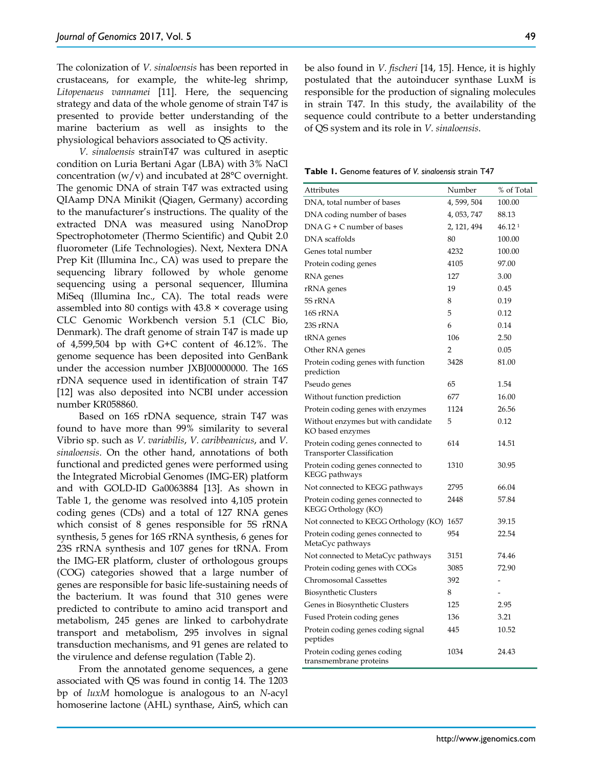The colonization of *V. sinaloensis* has been reported in crustaceans, for example, the white-leg shrimp, *Litopenaeus vannamei* [11]. Here, the sequencing strategy and data of the whole genome of strain T47 is presented to provide better understanding of the marine bacterium as well as insights to the physiological behaviors associated to QS activity.

*V. sinaloensis* strainT47 was cultured in aseptic condition on Luria Bertani Agar (LBA) with 3% NaCl concentration  $(w/v)$  and incubated at 28 $\degree$ C overnight. The genomic DNA of strain T47 was extracted using QIAamp DNA Minikit (Qiagen, Germany) according to the manufacturer's instructions. The quality of the extracted DNA was measured using NanoDrop Spectrophotometer (Thermo Scientific) and Qubit 2.0 fluorometer (Life Technologies). Next, Nextera DNA Prep Kit (Illumina Inc., CA) was used to prepare the sequencing library followed by whole genome sequencing using a personal sequencer, Illumina MiSeq (Illumina Inc., CA). The total reads were assembled into 80 contigs with 43.8 × coverage using CLC Genomic Workbench version 5.1 (CLC Bio, Denmark). The draft genome of strain T47 is made up of 4,599,504 bp with G+C content of 46.12%. The genome sequence has been deposited into GenBank under the accession number JXBJ00000000. The 16S rDNA sequence used in identification of strain T47 [12] was also deposited into NCBI under accession number KR058860.

Based on 16S rDNA sequence, strain T47 was found to have more than 99% similarity to several Vibrio sp. such as *V. variabilis*, *V. caribbeanicus*, and *V. sinaloensis*. On the other hand, annotations of both functional and predicted genes were performed using the Integrated Microbial Genomes (IMG-ER) platform and with GOLD-ID Ga0063884 [13]. As shown in Table 1, the genome was resolved into 4,105 protein coding genes (CDs) and a total of 127 RNA genes which consist of 8 genes responsible for 5S rRNA synthesis, 5 genes for 16S rRNA synthesis, 6 genes for 23S rRNA synthesis and 107 genes for tRNA. From the IMG-ER platform, cluster of orthologous groups (COG) categories showed that a large number of genes are responsible for basic life-sustaining needs of the bacterium. It was found that 310 genes were predicted to contribute to amino acid transport and metabolism, 245 genes are linked to carbohydrate transport and metabolism, 295 involves in signal transduction mechanisms, and 91 genes are related to the virulence and defense regulation (Table 2).

From the annotated genome sequences, a gene associated with QS was found in contig 14. The 1203 bp of *luxM* homologue is analogous to an *N*-acyl homoserine lactone (AHL) synthase, AinS, which can be also found in *V. fischeri* [14, 15]. Hence, it is highly postulated that the autoinducer synthase LuxM is responsible for the production of signaling molecules in strain T47. In this study, the availability of the sequence could contribute to a better understanding of QS system and its role in *V. sinaloensis*.

**Table 1.** Genome features of *V. sinaloensis* strain T47

| Attributes                                                             | Number         | % of Total         |
|------------------------------------------------------------------------|----------------|--------------------|
| DNA, total number of bases                                             | 4, 599, 504    | 100.00             |
| DNA coding number of bases                                             | 4, 053, 747    | 88.13              |
| $DNA G + C number of bases$                                            | 2, 121, 494    | 46.12 <sup>1</sup> |
| DNA scaffolds                                                          | 80             | 100.00             |
| Genes total number                                                     | 4232           | 100.00             |
| Protein coding genes                                                   | 4105           | 97.00              |
| RNA genes                                                              | 127            | 3.00               |
| rRNA genes                                                             | 19             | 0.45               |
| 5S rRNA                                                                | 8              | 0.19               |
| 16S rRNA                                                               | 5              | 0.12               |
| 23S rRNA                                                               | 6              | 0.14               |
| tRNA genes                                                             | 106            | 2.50               |
| Other RNA genes                                                        | $\overline{2}$ | 0.05               |
| Protein coding genes with function<br>prediction                       | 3428           | 81.00              |
| Pseudo genes                                                           | 65             | 1.54               |
| Without function prediction                                            | 677            | 16.00              |
| Protein coding genes with enzymes                                      | 1124           | 26.56              |
| Without enzymes but with candidate<br>KO based enzymes                 | 5              | 0.12               |
| Protein coding genes connected to<br><b>Transporter Classification</b> | 614            | 14.51              |
| Protein coding genes connected to<br>KEGG pathways                     | 1310           | 30.95              |
| Not connected to KEGG pathways                                         | 2795           | 66.04              |
| Protein coding genes connected to<br>KEGG Orthology (KO)               | 2448           | 57.84              |
| Not connected to KEGG Orthology (KO) 1657                              |                | 39.15              |
| Protein coding genes connected to<br>MetaCyc pathways                  | 954            | 22.54              |
| Not connected to MetaCyc pathways                                      | 3151           | 74.46              |
| Protein coding genes with COGs                                         | 3085           | 72.90              |
| Chromosomal Cassettes                                                  | 392            |                    |
| <b>Biosynthetic Clusters</b>                                           | 8              | -                  |
| Genes in Biosynthetic Clusters                                         | 125            | 2.95               |
| Fused Protein coding genes                                             | 136            | 3.21               |
| Protein coding genes coding signal<br>peptides                         | 445            | 10.52              |
| Protein coding genes coding<br>transmembrane proteins                  | 1034           | 24.43              |